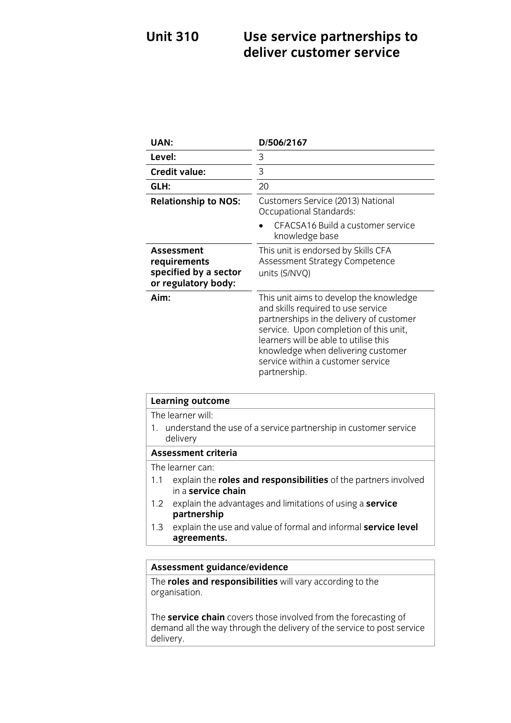## Use service partnerships to<br>deliver customer service **Unit 310 deliver customer service**

| UAN:                                                                       | D/506/2167                                                                                                                                                                                                                                                                                              |
|----------------------------------------------------------------------------|---------------------------------------------------------------------------------------------------------------------------------------------------------------------------------------------------------------------------------------------------------------------------------------------------------|
| Level:                                                                     | 3                                                                                                                                                                                                                                                                                                       |
| <b>Credit value:</b>                                                       | 3                                                                                                                                                                                                                                                                                                       |
| GLH:                                                                       | 20                                                                                                                                                                                                                                                                                                      |
| <b>Relationship to NOS:</b>                                                | Customers Service (2013) National<br>Occupational Standards:                                                                                                                                                                                                                                            |
|                                                                            | CFACSA16 Build a customer service<br>knowledge base                                                                                                                                                                                                                                                     |
| Assessment<br>requirements<br>specified by a sector<br>or regulatory body: | This unit is endorsed by Skills CFA<br>Assessment Strategy Competence<br>units (S/NVQ)                                                                                                                                                                                                                  |
| Aim:                                                                       | This unit aims to develop the knowledge<br>and skills required to use service<br>partnerships in the delivery of customer<br>service. Upon completion of this unit,<br>learners will be able to utilise this<br>knowledge when delivering customer<br>service within a customer service<br>partnership. |

| <b>Learning outcome</b> |                                                                                              |
|-------------------------|----------------------------------------------------------------------------------------------|
|                         | The learner will:                                                                            |
|                         | 1. understand the use of a service partnership in customer service<br>delivery               |
|                         | Assessment criteria                                                                          |
|                         | The learner can:                                                                             |
| 1.1                     | explain the <b>roles and responsibilities</b> of the partners involved<br>in a service chain |
| 1.2                     | explain the advantages and limitations of using a <b>service</b><br>partnership              |
| 1.3                     | explain the use and value of formal and informal service level<br>agreements.                |
|                         |                                                                                              |

## **Assessment guidance/evidence**

The **roles and responsibilities** will vary according to the organisation.

The service chain covers these involved from the forecasting of delivery of the service to the delivery of the service to post service to post service to post service to post delivery.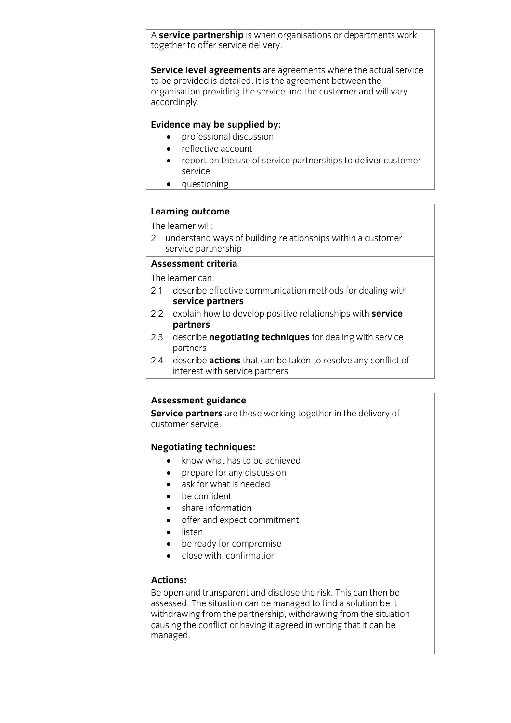A **service partnership** is when organisations or departments work together to offer service delivery. together to offer service delivery.

**Service level agreements** are agreements where the actual service to be provided is detailed. It is the agreement between the organisation providing the service and the customer and will vary accordingly. accordingly.

- **professional discussion** 
	- reflective account
	- report on the use of service partnerships to deliver customer
	- questioning

## **Learning outcome**<br>The learner will:

2. understand ways of building relationships within a customer service partnership

## Assessment criteria

The learner can:

- 2.1 describe effective communication methods for dealing with service partners
- **service partners** 2.2 explain how to develop positive relationships with **service partners**<br>2.3 describe **negotiating techniques** for dealing with service
- partners
- 2.4 describe **actions** that can be taken to resolve any conflict of interest with service partners interest with service partners

**Assessment guidance**<br>**Service partners** are those working together in the delivery of customer service. customer service.

- **Negotiating techniques:**<br> **Negotiation**<br> **A** prepare for any discussion
	- prepare for any discussion
	- ask for what is needed
	- he confident
	- share information
	- offer and expect commitment
	- listen<br>• be rea
	- be ready for compromise<br>• close with confirmation
	- close with confirmation

**Actions:**<br>Be open and transparent and disclose the risk. This can then be assessed. The situation can be managed to find a solution be it withdrawing from the partnership, withdrawing from the situation causing the conflict or having it agreed in writing that it can be managed. managed.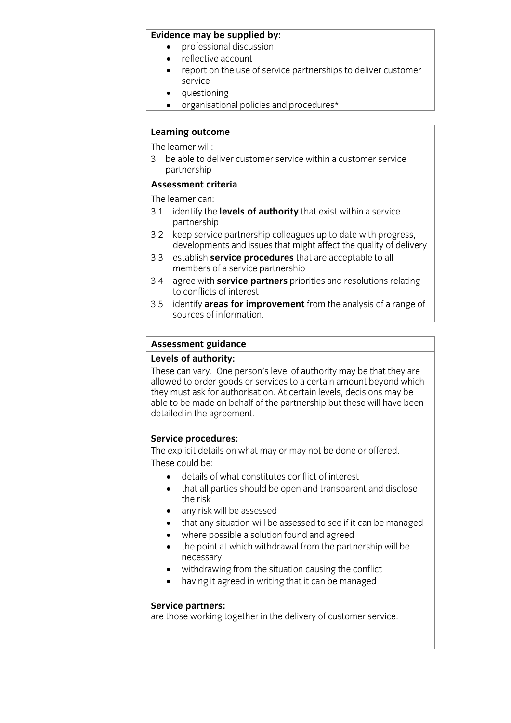- **professional discussion** 
	- reflective account<br>• report on the use
	- report on the use of service partnerships to deliver customer
	- questioning
	- organisational policies and procedures\*

## **Learning outcome**<br>The learner will:

3. he able to deliver customer service within a customer service partner ship

## Assessment criteria

The learner can:

- The remainst can:<br>2.1  $id$ ontify the 3.1 identify the **levels of authority** that exist within a service
- partnership<br>keep service partnership colleagues up to date with progress.  $3.2$ developments and issues that might affect the quality of delivery
- establish **service procedures** that are acceptable to all 3.3 establish **service procedures** that members of a service partnership
- $3.4$ agree with **service partners** priorities and resolutions relating to conflicts of interest
- 3.5 identify **areas for improvement** from the analysis of a range of sources of information. sources of information.

# **Assessment guidance**

These can vary. One person's level of authority may be that they are allowed to order goods or services to a certain amount bevond which they must ask for authorisation. At certain levels, decisions may be able to be made on behalf of the partnership but these will have been able to be made on behalf of the partnership but these will have been<br>detailed in the agreement detailed in the agreement.

**Service procedures:**<br>The explicit details on what may or may not be done or offered. These could be:

- details of what constitutes conflict of interest<br>• that all parties should be onen and transpare
	- that all parties should be open and transparent and disclose
	- any risk will be assessed<br>• that any situation will be
	- that any situation will be assessed to see if it can be managed
	- where possible a solution found and agreed
	- the point at which withdrawal from the partnership will be
	- withdrawing from the situation causing the conflict<br>• having it agreed in writing that it can be managed
	- having it agreed in writing that it can be managed

**Service partners:**<br>are those working together in the delivery of customer service. are those working together in the delivery of customer service.